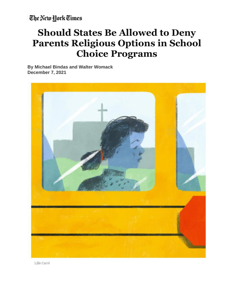The New York Times

## **Should States Be Allowed to Deny Parents Religious Options in School Choice Programs**

**By Michael Bindas and Walter Womack December 7, 2021**



Lille Carré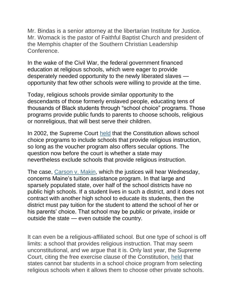Mr. Bindas is a senior attorney at the libertarian Institute for Justice. Mr. Womack is the pastor of Faithful Baptist Church and president of the Memphis chapter of the Southern Christian Leadership Conference.

In the wake of the Civil War, the federal government financed education at religious schools, which were eager to provide desperately needed opportunity to the newly liberated slaves opportunity that few other schools were willing to provide at the time.

Today, religious schools provide similar opportunity to the descendants of those formerly enslaved people, educating tens of thousands of Black students through "school choice" programs. Those programs provide public funds to parents to choose schools, religious or nonreligious, that will best serve their children.

In 2002, the Supreme Court [held](https://supreme.justia.com/cases/federal/us/536/639/) that the Constitution allows school choice programs to include schools that provide religious instruction, so long as the voucher program also offers secular options. The question now before the court is whether a state may nevertheless *exclude* schools that provide religious instruction.

The case, [Carson](https://www.supremecourt.gov/search.aspx?filename=/docket/docketfiles/html/public/20-1088.html) v. Makin, which the justices will hear Wednesday, concerns Maine's tuition assistance program. In that large and sparsely populated state, over half of the school districts have no public high schools. If a student lives in such a district, and it does not contract with another high school to educate its students, then the district must pay tuition for the student to attend the school of her or his parents' choice. That school may be public or private, inside or outside the state — even outside the country.

It can even be a religious-affiliated school. But one type of school is off limits: a school that provides religious instruction. That may seem unconstitutional, and we argue that it is. Only last year, the Supreme Court, citing the free exercise clause of the Constitution, [held](https://www.supremecourt.gov/opinions/19pdf/18-1195_g314.pdf) that states cannot bar students in a school choice program from selecting religious schools when it allows them to choose other private schools.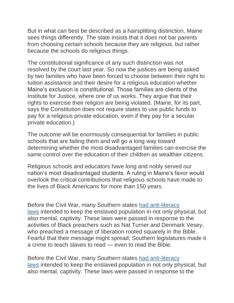But in what can best be described as a hairsplitting distinction, Maine sees things differently. The state insists that it does not bar parents from choosing certain schools because they *are* religious, but rather because the schools *do* religious things.

The constitutional significance of any such distinction was not resolved by the court last year. So now the justices are being asked by two families who have been forced to choose between their right to tuition assistance and their desire for a religious education whether Maine's exclusion is constitutional. Those families are clients of the Institute for Justice, where one of us works. They argue that their rights to exercise their religion are being violated. (Maine, for its part, says the Constitution does not require states to use public funds to pay for a religious private education, even if they pay for a secular private education.)

The outcome will be enormously consequential for families in public schools that are failing them and will go a long way toward determining whether the most disadvantaged families can exercise the same control over the education of their children as wealthier citizens.

Religious schools and educators have long and nobly served our nation's most disadvantaged students. A ruling in Maine's favor would overlook the critical contributions that religious schools have made to the lives of Black Americans for more than 150 years.

Before the Civil War, many Southern states had [anti-literacy](https://glc.yale.edu/american-anti-slavery-committee) [laws](https://glc.yale.edu/american-anti-slavery-committee) intended to keep the enslaved population in not only physical, but also mental, captivity. These laws were passed in response to the activities of Black preachers such as Nat Turner and Denmark Vesey, who preached a message of liberation rooted squarely in the Bible. Fearful that their message might spread, Southern legislatures made it a crime to teach slaves to read — even to read the Bible.

Before the Civil War, many Southern states had [anti-literacy](https://glc.yale.edu/american-anti-slavery-committee) [laws](https://glc.yale.edu/american-anti-slavery-committee) intended to keep the enslaved population in not only physical, but also mental, captivity. These laws were passed in response to the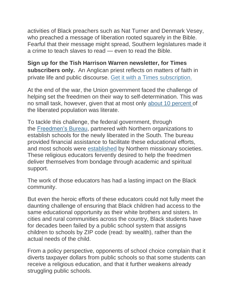activities of Black preachers such as Nat Turner and Denmark Vesey, who preached a message of liberation rooted squarely in the Bible. Fearful that their message might spread, Southern legislatures made it a crime to teach slaves to read — even to read the Bible.

**Sign up for the Tish Harrison Warren newsletter, for Times subscribers only.** An Anglican priest reflects on matters of faith in private life and public discourse. Get it with a Times subscription.

At the end of the war, the Union government faced the challenge of helping set the freedmen on their way to self-determination. This was no small task, however, given that at most only about 10 [percent](https://www.jstor.org/stable/26062071?seq=1) of the liberated population was literate.

To tackle this challenge, the federal government, through the [Freedmen's](https://www.archives.gov/education/lessons/education/lessons/freedmen) Bureau, partnered with Northern organizations to establish schools for the newly liberated in the South. The bureau provided financial assistance to facilitate these educational efforts, and most schools were [established](https://virginiahistory.org/learn/freedmens-schools) by Northern missionary societies. These religious educators fervently desired to help the freedmen deliver themselves from bondage through academic and spiritual support.

The work of those educators has had a lasting impact on the Black community.

But even the heroic efforts of these educators could not fully meet the daunting challenge of ensuring that Black children had access to the same educational opportunity as their white brothers and sisters. In cities and rural communities across the country, Black students have for decades been failed by a public school system that assigns children to schools by ZIP code (read: by wealth), rather than the actual needs of the child.

From a policy perspective, opponents of school choice complain that it diverts taxpayer dollars from public schools so that some students can receive a religious education, and that it further weakens already struggling public schools.